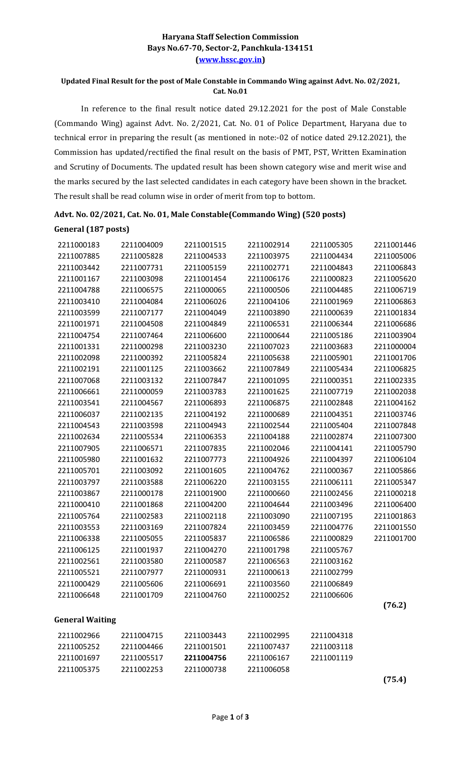## Haryana Staff Selection Commission Bays No.67-70, Sector-2, Panchkula-134151 (www.hssc.gov.in)

### Updated Final Result for the post of Male Constable in Commando Wing against Advt. No. 02/2021, Cat. No.01

 In reference to the final result notice dated 29.12.2021 for the post of Male Constable (Commando Wing) against Advt. No. 2/2021, Cat. No. 01 of Police Department, Haryana due to technical error in preparing the result (as mentioned in note:-02 of notice dated 29.12.2021), the Commission has updated/rectified the final result on the basis of PMT, PST, Written Examination and Scrutiny of Documents. The updated result has been shown category wise and merit wise and the marks secured by the last selected candidates in each category have been shown in the bracket. The result shall be read column wise in order of merit from top to bottom.

| General (187 posts)    |            |            |            |            |            |
|------------------------|------------|------------|------------|------------|------------|
| 2211000183             | 2211004009 | 2211001515 | 2211002914 | 2211005305 | 2211001446 |
| 2211007885             | 2211005828 | 2211004533 | 2211003975 | 2211004434 | 2211005006 |
| 2211003442             | 2211007731 | 2211005159 | 2211002771 | 2211004843 | 2211006843 |
| 2211001167             | 2211003098 | 2211001454 | 2211006176 | 2211000823 | 2211005620 |
| 2211004788             | 2211006575 | 2211000065 | 2211000506 | 2211004485 | 2211006719 |
| 2211003410             | 2211004084 | 2211006026 | 2211004106 | 2211001969 | 2211006863 |
| 2211003599             | 2211007177 | 2211004049 | 2211003890 | 2211000639 | 2211001834 |
| 2211001971             | 2211004508 | 2211004849 | 2211006531 | 2211006344 | 2211006686 |
| 2211004754             | 2211007464 | 2211006600 | 2211000644 | 2211005186 | 2211003904 |
| 2211001331             | 2211000298 | 2211003230 | 2211007023 | 2211003683 | 2211000004 |
| 2211002098             | 2211000392 | 2211005824 | 2211005638 | 2211005901 | 2211001706 |
| 2211002191             | 2211001125 | 2211003662 | 2211007849 | 2211005434 | 2211006825 |
| 2211007068             | 2211003132 | 2211007847 | 2211001095 | 2211000351 | 2211002335 |
| 2211006661             | 2211000059 | 2211003783 | 2211001625 | 2211007719 | 2211002038 |
| 2211003541             | 2211004567 | 2211006893 | 2211006875 | 2211002848 | 2211004162 |
| 2211006037             | 2211002135 | 2211004192 | 2211000689 | 2211004351 | 2211003746 |
| 2211004543             | 2211003598 | 2211004943 | 2211002544 | 2211005404 | 2211007848 |
| 2211002634             | 2211005534 | 2211006353 | 2211004188 | 2211002874 | 2211007300 |
| 2211007905             | 2211006571 | 2211007835 | 2211002046 | 2211004141 | 2211005790 |
| 2211005980             | 2211001632 | 2211007773 | 2211004926 | 2211004397 | 2211006104 |
| 2211005701             | 2211003092 | 2211001605 | 2211004762 | 2211000367 | 2211005866 |
| 2211003797             | 2211003588 | 2211006220 | 2211003155 | 2211006111 | 2211005347 |
| 2211003867             | 2211000178 | 2211001900 | 2211000660 | 2211002456 | 2211000218 |
| 2211000410             | 2211001868 | 2211004200 | 2211004644 | 2211003496 | 2211006400 |
| 2211005764             | 2211002583 | 2211002118 | 2211003090 | 2211007195 | 2211001863 |
| 2211003553             | 2211003169 | 2211007824 | 2211003459 | 2211004776 | 2211001550 |
| 2211006338             | 2211005055 | 2211005837 | 2211006586 | 2211000829 | 2211001700 |
| 2211006125             | 2211001937 | 2211004270 | 2211001798 | 2211005767 |            |
| 2211002561             | 2211003580 | 2211000587 | 2211006563 | 2211003162 |            |
| 2211005521             | 2211007977 | 2211000931 | 2211000613 | 2211002799 |            |
| 2211000429             | 2211005606 | 2211006691 | 2211003560 | 2211006849 |            |
| 2211006648             | 2211001709 | 2211004760 | 2211000252 | 2211006606 |            |
|                        |            |            |            |            | (76.2)     |
| <b>General Waiting</b> |            |            |            |            |            |
| 2211002966             | 2211004715 | 2211003443 | 2211002995 | 2211004318 |            |
| 2211005252             | 2211004466 | 2211001501 | 2211007437 | 2211003118 |            |
| 2211001697             | 2211005517 | 2211004756 | 2211006167 | 2211001119 |            |
| 2211005375             | 2211002253 | 2211000738 | 2211006058 |            |            |
|                        |            |            |            |            | (75.4)     |

### Advt. No. 02/2021, Cat. No. 01, Male Constable(Commando Wing) (520 posts)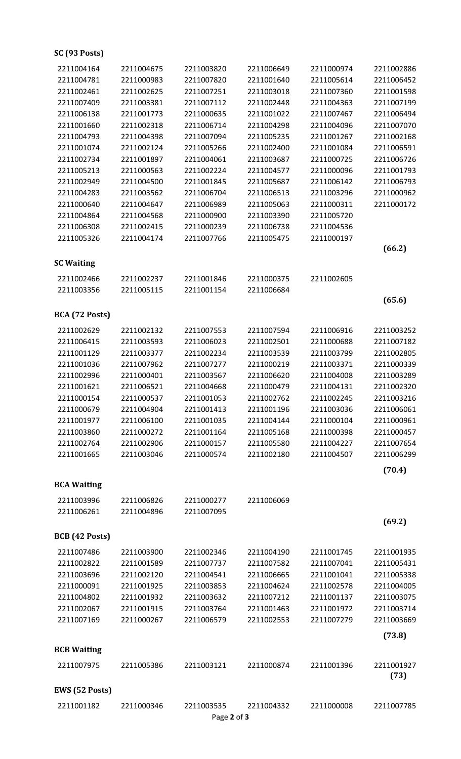# SC (93 Posts)

| 2211004164         | 2211004675 | 2211003820  | 2211006649 | 2211000974 | 2211002886 |
|--------------------|------------|-------------|------------|------------|------------|
| 2211004781         | 2211000983 | 2211007820  | 2211001640 | 2211005614 | 2211006452 |
| 2211002461         | 2211002625 | 2211007251  | 2211003018 | 2211007360 | 2211001598 |
| 2211007409         | 2211003381 | 2211007112  | 2211002448 | 2211004363 | 2211007199 |
| 2211006138         | 2211001773 | 2211000635  | 2211001022 | 2211007467 | 2211006494 |
| 2211001660         | 2211002318 | 2211006714  | 2211004298 | 2211004096 | 2211007070 |
| 2211004793         | 2211004398 | 2211007094  | 2211005235 | 2211001267 | 2211002168 |
| 2211001074         | 2211002124 | 2211005266  | 2211002400 | 2211001084 | 2211006591 |
| 2211002734         | 2211001897 | 2211004061  | 2211003687 | 2211000725 | 2211006726 |
| 2211005213         | 2211000563 | 2211002224  | 2211004577 | 2211000096 | 2211001793 |
| 2211002949         | 2211004500 | 2211001845  | 2211005687 | 2211006142 | 2211006793 |
| 2211004283         | 2211003562 | 2211006704  | 2211006513 | 2211003296 | 2211000962 |
| 2211000640         | 2211004647 | 2211006989  | 2211005063 | 2211000311 | 2211000172 |
| 2211004864         | 2211004568 | 2211000900  | 2211003390 | 2211005720 |            |
| 2211006308         | 2211002415 | 2211000239  | 2211006738 | 2211004536 |            |
| 2211005326         | 2211004174 | 2211007766  | 2211005475 | 2211000197 |            |
|                    |            |             |            |            | (66.2)     |
| <b>SC Waiting</b>  |            |             |            |            |            |
| 2211002466         | 2211002237 | 2211001846  | 2211000375 | 2211002605 |            |
| 2211003356         | 2211005115 | 2211001154  | 2211006684 |            |            |
|                    |            |             |            |            | (65.6)     |
|                    |            |             |            |            |            |
| BCA (72 Posts)     |            |             |            |            |            |
| 2211002629         | 2211002132 | 2211007553  | 2211007594 | 2211006916 | 2211003252 |
| 2211006415         | 2211003593 | 2211006023  | 2211002501 | 2211000688 | 2211007182 |
| 2211001129         | 2211003377 | 2211002234  | 2211003539 | 2211003799 | 2211002805 |
| 2211001036         | 2211007962 | 2211007277  | 2211000219 | 2211003371 | 2211000339 |
| 2211002996         | 2211000401 | 2211003567  | 2211006620 | 2211004008 | 2211003289 |
| 2211001621         | 2211006521 | 2211004668  | 2211000479 | 2211004131 | 2211002320 |
| 2211000154         | 2211000537 | 2211001053  | 2211002762 | 2211002245 | 2211003216 |
| 2211000679         | 2211004904 | 2211001413  | 2211001196 | 2211003036 | 2211006061 |
| 2211001977         | 2211006100 | 2211001035  | 2211004144 | 2211000104 | 2211000961 |
| 2211003860         | 2211000272 | 2211001164  | 2211005168 | 2211000398 | 2211000457 |
| 2211002764         | 2211002906 | 2211000157  | 2211005580 | 2211004227 | 2211007654 |
| 2211001665         | 2211003046 | 2211000574  | 2211002180 | 2211004507 | 2211006299 |
|                    |            |             |            |            | (70.4)     |
| <b>BCA Waiting</b> |            |             |            |            |            |
| 2211003996         | 2211006826 | 2211000277  | 2211006069 |            |            |
| 2211006261         | 2211004896 | 2211007095  |            |            |            |
|                    |            |             |            |            | (69.2)     |
| BCB (42 Posts)     |            |             |            |            |            |
|                    |            |             |            |            |            |
| 2211007486         | 2211003900 | 2211002346  | 2211004190 | 2211001745 | 2211001935 |
| 2211002822         | 2211001589 | 2211007737  | 2211007582 | 2211007041 | 2211005431 |
| 2211003696         | 2211002120 | 2211004541  | 2211006665 | 2211001041 | 2211005338 |
| 2211000091         | 2211001925 | 2211003853  | 2211004624 | 2211002578 | 2211004005 |
| 2211004802         | 2211001932 | 2211003632  | 2211007212 | 2211001137 | 2211003075 |
| 2211002067         | 2211001915 | 2211003764  | 2211001463 | 2211001972 | 2211003714 |
| 2211007169         | 2211000267 | 2211006579  | 2211002553 | 2211007279 | 2211003669 |
|                    |            |             |            |            | (73.8)     |
| <b>BCB Waiting</b> |            |             |            |            |            |
| 2211007975         | 2211005386 | 2211003121  | 2211000874 | 2211001396 | 2211001927 |
|                    |            |             |            |            | (73)       |
| EWS (52 Posts)     |            |             |            |            |            |
| 2211001182         | 2211000346 | 2211003535  | 2211004332 | 2211000008 | 2211007785 |
|                    |            | Page 2 of 3 |            |            |            |
|                    |            |             |            |            |            |